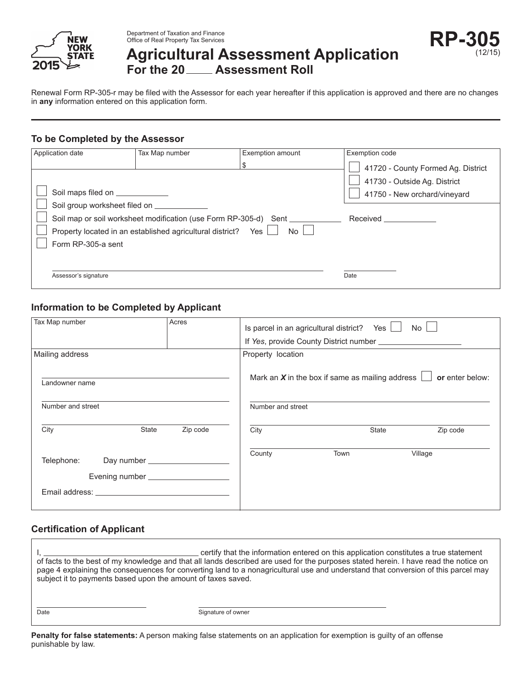

Department of Taxation and Finance Office of Real Property Tax Services

# **Agricultural Assessment Application** For the 20 \_\_\_\_ Assessment Roll

Renewal Form RP-305-r may be filed with the Assessor for each year hereafter if this application is approved and there are no changes in **any** information entered on this application form.

## **To be Completed by the Assessor**

| Application date                                                                                                                                                    | Tax Map number | <b>Exemption amount</b>                                                                     | Exemption code                                                                                                 |
|---------------------------------------------------------------------------------------------------------------------------------------------------------------------|----------------|---------------------------------------------------------------------------------------------|----------------------------------------------------------------------------------------------------------------|
| Soil maps filed on _____________<br>Soil group worksheet filed on __________<br>Property located in an established agricultural district? Yes<br>Form RP-305-a sent |                | Soil map or soil worksheet modification (use Form RP-305-d) Sent _______<br>No <sub>1</sub> | 41720 - County Formed Ag. District<br>41730 - Outside Ag. District<br>41750 - New orchard/vineyard<br>Received |
| Assessor's signature                                                                                                                                                |                |                                                                                             | Date                                                                                                           |

## **Information to be Completed by Applicant**

| Tax Map number                                                                                                                                                                                                                               |       | Acres    |                   | Is parcel in an agricultural district? Yes $\lfloor$        | No              |
|----------------------------------------------------------------------------------------------------------------------------------------------------------------------------------------------------------------------------------------------|-------|----------|-------------------|-------------------------------------------------------------|-----------------|
|                                                                                                                                                                                                                                              |       |          |                   |                                                             |                 |
| Mailing address                                                                                                                                                                                                                              |       |          | Property location |                                                             |                 |
| Landowner name                                                                                                                                                                                                                               |       |          |                   | Mark an $X$ in the box if same as mailing address $\lfloor$ | or enter below: |
| Number and street                                                                                                                                                                                                                            |       |          | Number and street |                                                             |                 |
| City                                                                                                                                                                                                                                         | State | Zip code | City              | State                                                       | Zip code        |
| Telephone:<br>Email address: experience and a series of the series of the series of the series of the series of the series of the series of the series of the series of the series of the series of the series of the series of the series o |       |          | County            | Town                                                        | Village         |
|                                                                                                                                                                                                                                              |       |          |                   |                                                             |                 |

# **Certification of Applicant**

I, <u>come allo certify</u> that the information entered on this application constitutes a true statement of facts to the best of my knowledge and that all lands described are used for the purposes stated herein. I have read the notice on page 4 explaining the consequences for converting land to a nonagricultural use and understand that conversion of this parcel may subject it to payments based upon the amount of taxes saved. Date Signature of owner

**Penalty for false statements:** A person making false statements on an application for exemption is guilty of an offense punishable by law.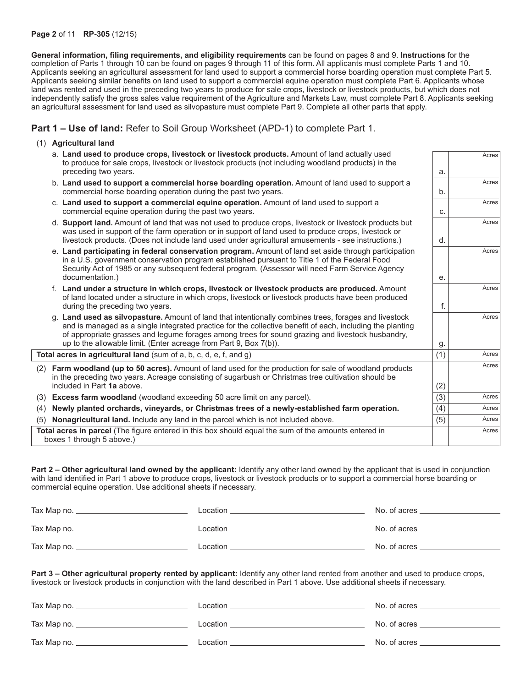#### **Page 2** of 11 **RP-305** (12/15)

**General information, filing requirements, and eligibility requirements** can be found on pages 8 and 9. **Instructions** for the completion of Parts 1 through 10 can be found on pages 9 through 11 of this form. All applicants must complete Parts 1 and 10. Applicants seeking an agricultural assessment for land used to support a commercial horse boarding operation must complete Part 5. Applicants seeking similar benefits on land used to support a commercial equine operation must complete Part 6. Applicants whose land was rented and used in the preceding two years to produce for sale crops, livestock or livestock products, but which does not independently satisfy the gross sales value requirement of the Agriculture and Markets Law, must complete Part 8. Applicants seeking an agricultural assessment for land used as silvopasture must complete Part 9. Complete all other parts that apply.

**Part 1 – Use of land:** Refer to Soil Group Worksheet (APD-1) to complete Part 1.

### (1) **Agricultural land**

|     | a. Land used to produce crops, livestock or livestock products. Amount of land actually used<br>to produce for sale crops, livestock or livestock products (not including woodland products) in the                                                                                                                                                                                         |     | Acres |
|-----|---------------------------------------------------------------------------------------------------------------------------------------------------------------------------------------------------------------------------------------------------------------------------------------------------------------------------------------------------------------------------------------------|-----|-------|
|     | preceding two years.                                                                                                                                                                                                                                                                                                                                                                        | a.  |       |
|     | b. Land used to support a commercial horse boarding operation. Amount of land used to support a<br>commercial horse boarding operation during the past two years.                                                                                                                                                                                                                           | b.  | Acres |
|     | c. Land used to support a commercial equine operation. Amount of land used to support a<br>commercial equine operation during the past two years.                                                                                                                                                                                                                                           | C.  | Acres |
|     | d. <b>Support land.</b> Amount of land that was not used to produce crops, livestock or livestock products but<br>was used in support of the farm operation or in support of land used to produce crops, livestock or<br>livestock products. (Does not include land used under agricultural amusements - see instructions.)                                                                 | d.  | Acres |
|     | e. Land participating in federal conservation program. Amount of land set aside through participation<br>in a U.S. government conservation program established pursuant to Title 1 of the Federal Food<br>Security Act of 1985 or any subsequent federal program. (Assessor will need Farm Service Agency<br>documentation.)                                                                | е.  | Acres |
|     | f. Land under a structure in which crops, livestock or livestock products are produced. Amount<br>of land located under a structure in which crops, livestock or livestock products have been produced<br>during the preceding two years.                                                                                                                                                   | f.  | Acres |
|     | g. Land used as silvopasture. Amount of land that intentionally combines trees, forages and livestock<br>and is managed as a single integrated practice for the collective benefit of each, including the planting<br>of appropriate grasses and legume forages among trees for sound grazing and livestock husbandry,<br>up to the allowable limit. (Enter acreage from Part 9, Box 7(b)). | g.  | Acres |
|     | Total acres in agricultural land (sum of a, b, c, d, e, f, and g)                                                                                                                                                                                                                                                                                                                           | (1) | Acres |
|     | (2) Farm woodland (up to 50 acres). Amount of land used for the production for sale of woodland products<br>in the preceding two years. Acreage consisting of sugarbush or Christmas tree cultivation should be                                                                                                                                                                             |     | Acres |
|     | included in Part 1a above.                                                                                                                                                                                                                                                                                                                                                                  | (2) |       |
|     | (3) Excess farm woodland (woodland exceeding 50 acre limit on any parcel).                                                                                                                                                                                                                                                                                                                  | (3) | Acres |
|     | (4) Newly planted orchards, vineyards, or Christmas trees of a newly-established farm operation.                                                                                                                                                                                                                                                                                            | (4) | Acres |
| (5) | Nonagricultural land. Include any land in the parcel which is not included above.                                                                                                                                                                                                                                                                                                           | (5) | Acres |
|     | Total acres in parcel (The figure entered in this box should equal the sum of the amounts entered in<br>boxes 1 through 5 above.)                                                                                                                                                                                                                                                           |     | Acres |

**Part 2 – Other agricultural land owned by the applicant:** Identify any other land owned by the applicant that is used in conjunction with land identified in Part 1 above to produce crops, livestock or livestock products or to support a commercial horse boarding or commercial equine operation. Use additional sheets if necessary.

| Tax Map no. | Location | No. of acres |
|-------------|----------|--------------|
| Tax Map no. | Location | No. of acres |
| Tax Map no. | Location | No. of acres |

**Part 3 – Other agricultural property rented by applicant:** Identify any other land rented from another and used to produce crops, livestock or livestock products in conjunction with the land described in Part 1 above. Use additional sheets if necessary.

| Tax Map no. _ | Location | No. of acres |
|---------------|----------|--------------|
| Tax Map no.   | Location | No. of acres |
| Tax Map no.   | Location | No. of acres |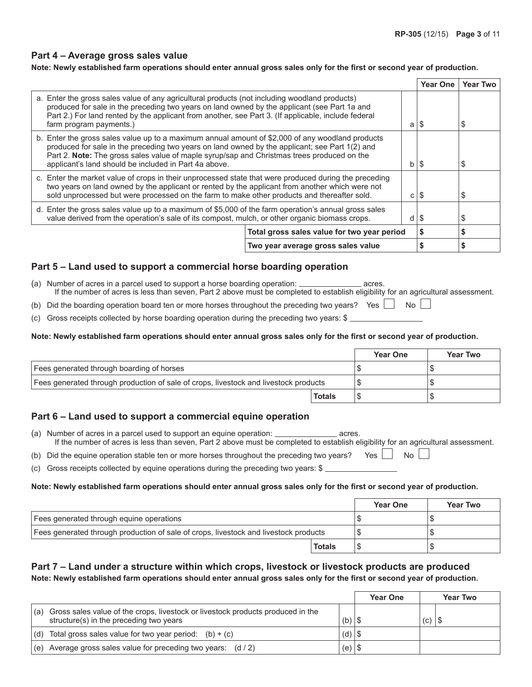### **Part 4 – Average gross sales value**

### **Note: Newly established farm operations should enter annual gross sales only for the first or second year of production.**

|                                                                                                                                                                                                                                                                                                                                                                |  |    | <b>Year One</b> | <b>Year Two</b> |
|----------------------------------------------------------------------------------------------------------------------------------------------------------------------------------------------------------------------------------------------------------------------------------------------------------------------------------------------------------------|--|----|-----------------|-----------------|
| a. Enter the gross sales value of any agricultural products (not including woodland products)<br>produced for sale in the preceding two years on land owned by the applicant (see Part 1a and<br>Part 2.) For land rented by the applicant from another, see Part 3. (If applicable, include federal<br>farm program payments.)<br>S<br>a                      |  |    |                 | S               |
| b. Enter the gross sales value up to a maximum annual amount of \$2,000 of any woodland products<br>produced for sale in the preceding two years on land owned by the applicant; see Part 1(2) and<br>Part 2. Note: The gross sales value of maple syrup/sap and Christmas trees produced on the<br>applicant's land should be included in Part 4a above.<br>b |  |    | S               | S               |
| c. Enter the market value of crops in their unprocessed state that were produced during the preceding<br>two years on land owned by the applicant or rented by the applicant from another which were not<br>sold unprocessed but were processed on the farm to make other products and thereafter sold.<br>с                                                   |  |    | S               | S               |
| d. Enter the gross sales value up to a maximum of \$5,000 of the farm operation's annual gross sales<br>value derived from the operation's sale of its compost, mulch, or other organic biomass crops.<br>d                                                                                                                                                    |  | \$ | S               |                 |
| Total gross sales value for two year period                                                                                                                                                                                                                                                                                                                    |  | \$ | S               |                 |
| Two year average gross sales value                                                                                                                                                                                                                                                                                                                             |  |    | S               | S               |

## **Part 5 – Land used to support a commercial horse boarding operation**

- (a) Number of acres in a parcel used to support a horse boarding operation:  $\frac{1}{\sqrt{2}}$  acres. If the number of acres is less than seven, Part 2 above must be completed to establish eligibility for an agricultural assessment.
- (b) Did the boarding operation board ten or more horses throughout the preceding two years? Yes  $\Box$  No  $\Box$
- (c) Gross receipts collected by horse boarding operation during the preceding two years: \$

### **Note: Newly established farm operations should enter annual gross sales only for the first or second year of production.**

|                                                                                      |               | <b>Year One</b> | <b>Year Two</b> |
|--------------------------------------------------------------------------------------|---------------|-----------------|-----------------|
| Fees generated through boarding of horses                                            |               |                 |                 |
| Fees generated through production of sale of crops, livestock and livestock products |               |                 |                 |
|                                                                                      | <b>Totals</b> |                 |                 |

### **Part 6 – Land used to support a commercial equine operation**

- (a) Number of acres in a parcel used to support an equine operation: \_\_\_\_\_\_\_\_\_\_\_\_\_\_\_\_\_\_\_ acres. If the number of acres is less than seven, Part 2 above must be completed to establish eligibility for an agricultural assessment.
- (b) Did the equine operation stable ten or more horses throughout the preceding two years? Yes  $\Box$  No  $\Box$
- (c) Gross receipts collected by equine operations during the preceding two years: \$

### **Note: Newly established farm operations should enter annual gross sales only for the first or second year of production.**

|                                                                                      |               | <b>Year One</b> | <b>Year Two</b> |
|--------------------------------------------------------------------------------------|---------------|-----------------|-----------------|
| Fees generated through equine operations                                             |               |                 |                 |
| Fees generated through production of sale of crops, livestock and livestock products |               |                 |                 |
|                                                                                      | <b>Totals</b> |                 |                 |

## **Part 7 – Land under a structure within which crops, livestock or livestock products are produced Note: Newly established farm operations should enter annual gross sales only for the first or second year of production.**

|     |                                                                                                                            |          | <b>Year One</b> |     | <b>Year Two</b> |
|-----|----------------------------------------------------------------------------------------------------------------------------|----------|-----------------|-----|-----------------|
| (a) | Gross sales value of the crops, livestock or livestock products produced in the<br>structure(s) in the preceding two years | $(b)$ \$ |                 | (C) |                 |
| (d) | Total gross sales value for two year period: $(b) + (c)$                                                                   | $(d)$ \$ |                 |     |                 |
| (e) | Average gross sales value for preceding two years: $(d / 2)$                                                               | (e)      | 1 S             |     |                 |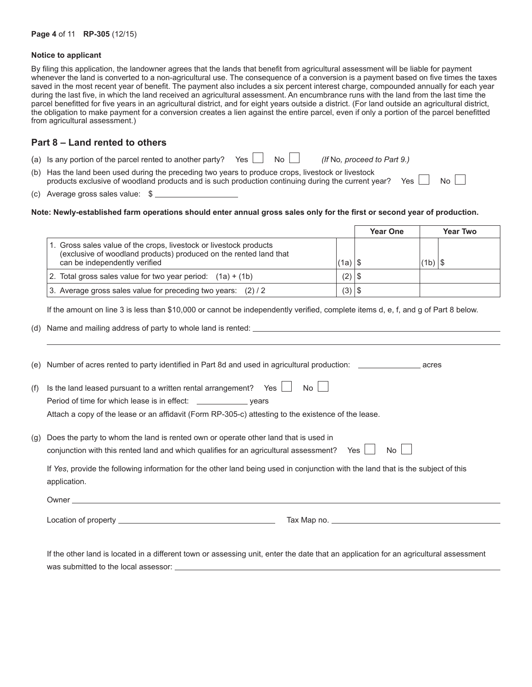#### **Notice to applicant**

By filing this application, the landowner agrees that the lands that benefit from agricultural assessment will be liable for payment whenever the land is converted to a non-agricultural use. The consequence of a conversion is a payment based on five times the taxes saved in the most recent year of benefit. The payment also includes a six percent interest charge, compounded annually for each year during the last five, in which the land received an agricultural assessment. An encumbrance runs with the land from the last time the parcel benefitted for five years in an agricultural district, and for eight years outside a district. (For land outside an agricultural district, the obligation to make payment for a conversion creates a lien against the entire parcel, even if only a portion of the parcel benefitted from agricultural assessment.)

### **Part 8 – Land rented to others**

| (a) Is any portion of the parcel rented to another party? Yes $\Box$ No $\Box$ |  | (If No, proceed to Part 9.) |
|--------------------------------------------------------------------------------|--|-----------------------------|
|                                                                                |  |                             |

- (b) Has the land been used during the preceding two years to produce crops, livestock or livestock products exclusive of woodland products and is such production continuing during the current year? Yes  $\Box$  No
- (c) Average gross sales value: \$

#### **Note: Newly-established farm operations should enter annual gross sales only for the first or second year of production.**

|                                                                                                                                                                          |            | <b>Year One</b> |           | <b>Year Two</b> |
|--------------------------------------------------------------------------------------------------------------------------------------------------------------------------|------------|-----------------|-----------|-----------------|
| 1. Gross sales value of the crops, livestock or livestock products<br>(exclusive of woodland products) produced on the rented land that<br>can be independently verified | (a)        | 1 S             | (1b)   \$ |                 |
| 2. Total gross sales value for two year period: $(1a) + (1b)$                                                                                                            |            |                 |           |                 |
| 3. Average gross sales value for preceding two years: (2) / 2                                                                                                            | $(3)$   \$ |                 |           |                 |

If the amount on line 3 is less than \$10,000 or cannot be independently verified, complete items d, e, f, and g of Part 8 below.

(d) Name and mailing address of party to whole land is rented:

|     | (e) Number of acres rented to party identified in Part 8d and used in agricultural production: and acres                                                                                          |
|-----|---------------------------------------------------------------------------------------------------------------------------------------------------------------------------------------------------|
| (f) | Is the land leased pursuant to a written rental arrangement? Yes $\Box$<br>No <sub>1</sub><br>Attach a copy of the lease or an affidavit (Form RP-305-c) attesting to the existence of the lease. |
| (g) | Does the party to whom the land is rented own or operate other land that is used in<br>Yes I<br>No l<br>conjunction with this rented land and which qualifies for an agricultural assessment?     |
|     | If Yes, provide the following information for the other land being used in conjunction with the land that is the subject of this<br>application.                                                  |
|     |                                                                                                                                                                                                   |
|     |                                                                                                                                                                                                   |

If the other land is located in a different town or assessing unit, enter the date that an application for an agricultural assessment was submitted to the local assessor: \_\_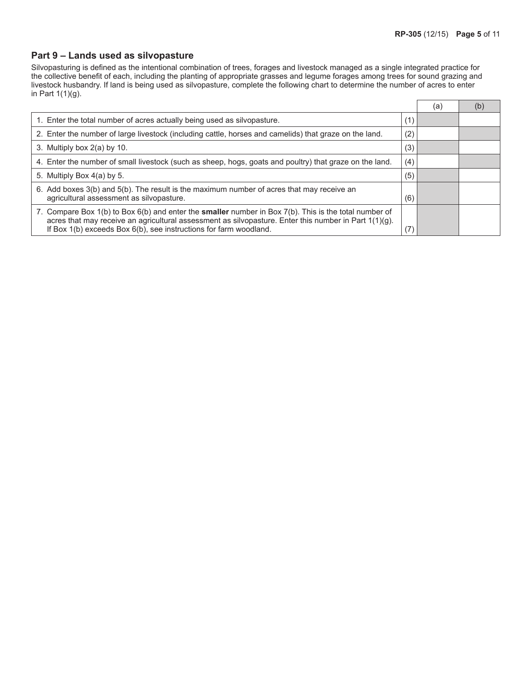$\overline{\phantom{0}}$ 

### **Part 9 – Lands used as silvopasture**

Silvopasturing is defined as the intentional combination of trees, forages and livestock managed as a single integrated practice for the collective benefit of each, including the planting of appropriate grasses and legume forages among trees for sound grazing and livestock husbandry. If land is being used as silvopasture, complete the following chart to determine the number of acres to enter in Part 1(1)(g).  $\Box$ 

|                                                                                                                                                                                                                                                                                        |     | (a) | (b) |
|----------------------------------------------------------------------------------------------------------------------------------------------------------------------------------------------------------------------------------------------------------------------------------------|-----|-----|-----|
| 1. Enter the total number of acres actually being used as silvopasture.                                                                                                                                                                                                                | (1) |     |     |
| 2. Enter the number of large livestock (including cattle, horses and camelids) that graze on the land.                                                                                                                                                                                 | (2) |     |     |
| 3. Multiply box 2(a) by 10.                                                                                                                                                                                                                                                            | (3) |     |     |
| 4. Enter the number of small livestock (such as sheep, hogs, goats and poultry) that graze on the land.                                                                                                                                                                                | (4) |     |     |
| 5. Multiply Box 4(a) by 5.                                                                                                                                                                                                                                                             | (5) |     |     |
| 6. Add boxes 3(b) and 5(b). The result is the maximum number of acres that may receive an<br>agricultural assessment as silvopasture.                                                                                                                                                  | (6) |     |     |
| 7. Compare Box 1(b) to Box 6(b) and enter the smaller number in Box 7(b). This is the total number of<br>acres that may receive an agricultural assessment as silvopasture. Enter this number in Part $1(1)(g)$ .<br>If Box 1(b) exceeds Box 6(b), see instructions for farm woodland. | (7) |     |     |
|                                                                                                                                                                                                                                                                                        |     |     |     |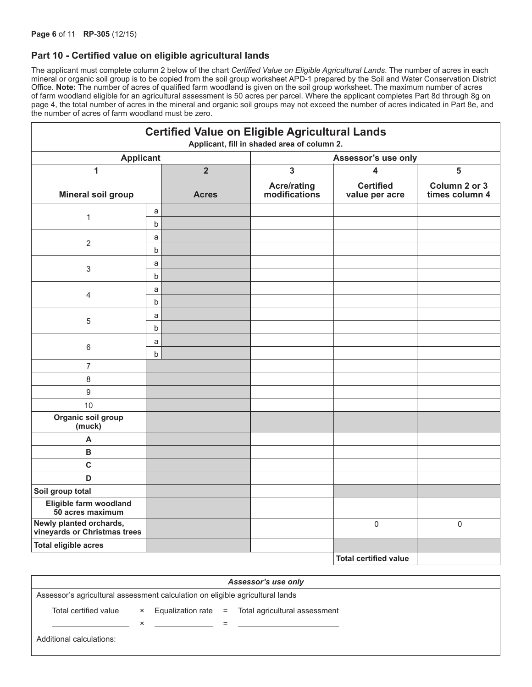### **Part 10 - Certified value on eligible agricultural lands**

The applicant must complete column 2 below of the chart *Certified Value on Eligible Agricultural Lands*. The number of acres in each mineral or organic soil group is to be copied from the soil group worksheet APD-1 prepared by the Soil and Water Conservation District Office. **Note:** The number of acres of qualified farm woodland is given on the soil group worksheet. The maximum number of acres of farm woodland eligible for an agricultural assessment is 50 acres per parcel. Where the applicant completes Part 8d through 8g on page 4, the total number of acres in the mineral and organic soil groups may not exceed the number of acres indicated in Part 8e, and the number of acres of farm woodland must be zero.

|                                                         |         |                | <b>Certified Value on Eligible Agricultural Lands</b><br>Applicant, fill in shaded area of column 2. |                                    |                                 |  |
|---------------------------------------------------------|---------|----------------|------------------------------------------------------------------------------------------------------|------------------------------------|---------------------------------|--|
| <b>Applicant</b>                                        |         |                | Assessor's use only                                                                                  |                                    |                                 |  |
| 1                                                       |         | $\overline{2}$ | $\mathbf{3}$                                                                                         | $\overline{\mathbf{4}}$            | 5                               |  |
| <b>Mineral soil group</b>                               |         | <b>Acres</b>   | <b>Acre/rating</b><br>modifications                                                                  | <b>Certified</b><br>value per acre | Column 2 or 3<br>times column 4 |  |
| $\mathbf{1}$                                            | a       |                |                                                                                                      |                                    |                                 |  |
|                                                         | b       |                |                                                                                                      |                                    |                                 |  |
| $\overline{2}$                                          | a       |                |                                                                                                      |                                    |                                 |  |
|                                                         | b       |                |                                                                                                      |                                    |                                 |  |
|                                                         | a       |                |                                                                                                      |                                    |                                 |  |
| $\sqrt{3}$                                              | $\sf b$ |                |                                                                                                      |                                    |                                 |  |
|                                                         | a       |                |                                                                                                      |                                    |                                 |  |
| $\overline{4}$                                          | b       |                |                                                                                                      |                                    |                                 |  |
| 5                                                       | a       |                |                                                                                                      |                                    |                                 |  |
|                                                         | b       |                |                                                                                                      |                                    |                                 |  |
|                                                         | a       |                |                                                                                                      |                                    |                                 |  |
| $\,6\,$                                                 | $\sf b$ |                |                                                                                                      |                                    |                                 |  |
| $\overline{7}$                                          |         |                |                                                                                                      |                                    |                                 |  |
| 8                                                       |         |                |                                                                                                      |                                    |                                 |  |
| $9\,$                                                   |         |                |                                                                                                      |                                    |                                 |  |
| 10                                                      |         |                |                                                                                                      |                                    |                                 |  |
| Organic soil group<br>(muck)                            |         |                |                                                                                                      |                                    |                                 |  |
| A                                                       |         |                |                                                                                                      |                                    |                                 |  |
| $\sf{B}$                                                |         |                |                                                                                                      |                                    |                                 |  |
| $\mathbf c$                                             |         |                |                                                                                                      |                                    |                                 |  |
| D                                                       |         |                |                                                                                                      |                                    |                                 |  |
| Soil group total                                        |         |                |                                                                                                      |                                    |                                 |  |
| Eligible farm woodland<br>50 acres maximum              |         |                |                                                                                                      |                                    |                                 |  |
| Newly planted orchards,<br>vineyards or Christmas trees |         |                |                                                                                                      | $\mathsf 0$                        | $\mathsf 0$                     |  |
| <b>Total eligible acres</b>                             |         |                |                                                                                                      |                                    |                                 |  |
|                                                         |         |                |                                                                                                      | <b>Total certified value</b>       |                                 |  |

| Assessor's use only                                                           |   |  |   |                                                            |  |  |
|-------------------------------------------------------------------------------|---|--|---|------------------------------------------------------------|--|--|
| Assessor's agricultural assessment calculation on eligible agricultural lands |   |  |   |                                                            |  |  |
| Total certified value                                                         |   |  |   | $\times$ Equalization rate = Total agricultural assessment |  |  |
|                                                                               | × |  | = |                                                            |  |  |
| Additional calculations:                                                      |   |  |   |                                                            |  |  |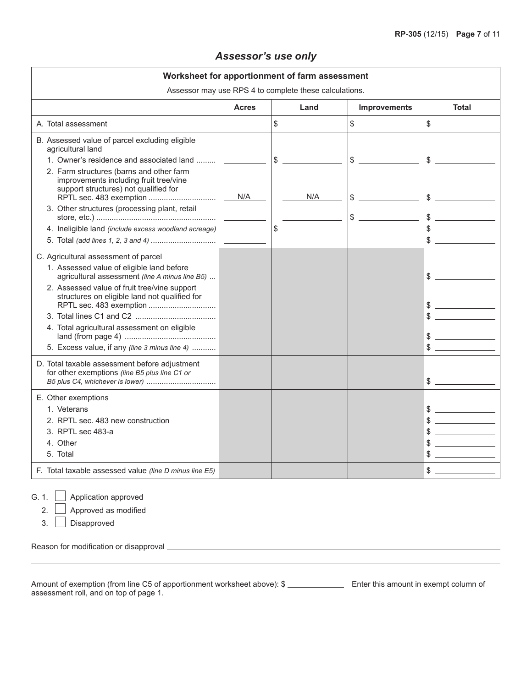# *Assessor's use only*

| Worksheet for apportionment of farm assessment                                                                                                                                                                                                                                                                                                                                                                                                                                                                                                                                                                                                                                                                                                                                                                                                                                                                 |              |           |                     |                                       |  |
|----------------------------------------------------------------------------------------------------------------------------------------------------------------------------------------------------------------------------------------------------------------------------------------------------------------------------------------------------------------------------------------------------------------------------------------------------------------------------------------------------------------------------------------------------------------------------------------------------------------------------------------------------------------------------------------------------------------------------------------------------------------------------------------------------------------------------------------------------------------------------------------------------------------|--------------|-----------|---------------------|---------------------------------------|--|
| Assessor may use RPS 4 to complete these calculations.                                                                                                                                                                                                                                                                                                                                                                                                                                                                                                                                                                                                                                                                                                                                                                                                                                                         |              |           |                     |                                       |  |
|                                                                                                                                                                                                                                                                                                                                                                                                                                                                                                                                                                                                                                                                                                                                                                                                                                                                                                                | <b>Acres</b> | Land      | <b>Improvements</b> | <b>Total</b>                          |  |
| A. Total assessment                                                                                                                                                                                                                                                                                                                                                                                                                                                                                                                                                                                                                                                                                                                                                                                                                                                                                            |              | \$        | \$                  | \$                                    |  |
| B. Assessed value of parcel excluding eligible<br>agricultural land<br>1. Owner's residence and associated land<br>2. Farm structures (barns and other farm<br>improvements including fruit tree/vine<br>support structures) not qualified for<br>3. Other structures (processing plant, retail<br>4. Ineligible land (include excess woodland acreage)<br>C. Agricultural assessment of parcel<br>1. Assessed value of eligible land before<br>agricultural assessment (line A minus line B5)<br>2. Assessed value of fruit tree/vine support<br>structures on eligible land not qualified for<br>4. Total agricultural assessment on eligible<br>5. Excess value, if any (line 3 minus line 4)<br>D. Total taxable assessment before adjustment<br>for other exemptions (line B5 plus line C1 or<br>E. Other exemptions<br>1. Veterans<br>2. RPTL sec. 483 new construction<br>3. RPTL sec 483-a<br>4. Other | N/A          | N/A<br>\$ | \$<br>$\frac{1}{2}$ | \$<br>\$<br>\$<br>\$<br>$\frac{1}{2}$ |  |
| 5. Total                                                                                                                                                                                                                                                                                                                                                                                                                                                                                                                                                                                                                                                                                                                                                                                                                                                                                                       |              |           |                     |                                       |  |
| F. Total taxable assessed value (line D minus line E5)                                                                                                                                                                                                                                                                                                                                                                                                                                                                                                                                                                                                                                                                                                                                                                                                                                                         |              |           |                     | \$                                    |  |
| Application approved<br>G. 1.<br>Approved as modified<br>2.<br>3.<br>Disapproved<br>Reason for modification or disapproval                                                                                                                                                                                                                                                                                                                                                                                                                                                                                                                                                                                                                                                                                                                                                                                     |              |           |                     |                                       |  |

| Amount of exemption (from line C5 of apportionment worksheet above): \$ | Enter this amount in exempt column of |
|-------------------------------------------------------------------------|---------------------------------------|
| assessment roll, and on top of page 1.                                  |                                       |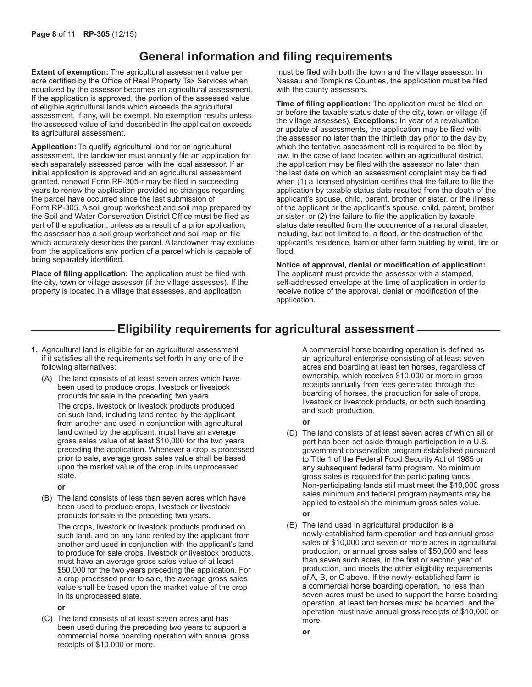# **General information and filing requirements**

**Extent of exemption:** The agricultural assessment value per acre certified by the Office of Real Property Tax Services when equalized by the assessor becomes an agricultural assessment. If the application is approved, the portion of the assessed value of eligible agricultural lands which exceeds the agricultural assessment, if any, will be exempt. No exemption results unless the assessed value of land described in the application exceeds its agricultural assessment.

**Application:** To qualify agricultural land for an agricultural assessment, the landowner must annually file an application for each separately assessed parcel with the local assessor. If an initial application is approved and an agricultural assessment granted, renewal Form RP-305-r may be filed in succeeding years to renew the application provided no changes regarding the parcel have occurred since the last submission of Form RP-305. A soil group worksheet and soil map prepared by the Soil and Water Conservation District Office must be filed as part of the application, unless as a result of a prior application, the assessor has a soil group worksheet and soil map on file which accurately describes the parcel. A landowner may exclude from the applications any portion of a parcel which is capable of being separately identified.

**Place of filing application:** The application must be filed with the city, town or village assessor (if the village assesses). If the property is located in a village that assesses, and application

must be filed with both the town and the village assessor. In Nassau and Tompkins Counties, the application must be filed with the county assessors.

**Time of filing application:** The application must be filed on or before the taxable status date of the city, town or village (if the village assesses). **Exceptions:** In year of a revaluation or update of assessments, the application may be filed with the assessor no later than the thirtieth day prior to the day by which the tentative assessment roll is required to be filed by law. In the case of land located within an agricultural district, the application may be filed with the assessor no later than the last date on which an assessment complaint may be filed when (1) a licensed physician certifies that the failure to file the application by taxable status date resulted from the death of the applicant's spouse, child, parent, brother or sister, or the illness of the applicant or the applicant's spouse, child, parent, brother or sister; or (2) the failure to file the application by taxable status date resulted from the occurrence of a natural disaster, including, but not limited to, a flood, or the destruction of the applicant's residence, barn or other farm building by wind, fire or flood.

**Notice of approval, denial or modification of application:** The applicant must provide the assessor with a stamped, self-addressed envelope at the time of application in order to receive notice of the approval, denial or modification of the application.

# **Eligibility requirements for agricultural assessment**

- **1.** Agricultural land is eligible for an agricultural assessment if it satisfies all the requirements set forth in any one of the following alternatives:
	- (A) The land consists of at least seven acres which have been used to produce crops, livestock or livestock products for sale in the preceding two years. The crops, livestock or livestock products produced on such land, including land rented by the applicant from another and used in conjunction with agricultural land owned by the applicant, must have an average gross sales value of at least \$10,000 for the two years preceding the application. Whenever a crop is processed prior to sale, average gross sales value shall be based upon the market value of the crop in its unprocessed state.
		- **or**
	- (B) The land consists of less than seven acres which have been used to produce crops, livestock or livestock products for sale in the preceding two years.

The crops, livestock or livestock products produced on such land, and on any land rented by the applicant from another and used in conjunction with the applicant's land to produce for sale crops, livestock or livestock products, must have an average gross sales value of at least \$50,000 for the two years preceding the application. For a crop processed prior to sale, the average gross sales value shall be based upon the market value of the crop in its unprocessed state.

**or**

(C) The land consists of at least seven acres and has been used during the preceding two years to support a commercial horse boarding operation with annual gross receipts of \$10,000 or more.

A commercial horse boarding operation is defined as an agricultural enterprise consisting of at least seven acres and boarding at least ten horses, regardless of ownership, which receives \$10,000 or more in gross receipts annually from fees generated through the boarding of horses, the production for sale of crops, livestock or livestock products, or both such boarding and such production.

**or**

- (D) The land consists of at least seven acres of which all or part has been set aside through participation in a U.S. government conservation program established pursuant to Title 1 of the Federal Food Security Act of 1985 or any subsequent federal farm program. No minimum gross sales is required for the participating lands. Non-participating lands still must meet the \$10,000 gross sales minimum and federal program payments may be applied to establish the minimum gross sales value. **or**
- (E) The land used in agricultural production is a newly-established farm operation and has annual gross sales of \$10,000 and seven or more acres in agricultural production, or annual gross sales of \$50,000 and less than seven such acres, in the first or second year of production, and meets the other eligibility requirements of A, B, or C above. If the newly-established farm is a commercial horse boarding operation, no less than seven acres must be used to support the horse boarding operation, at least ten horses must be boarded, and the operation must have annual gross receipts of \$10,000 or more.

**or**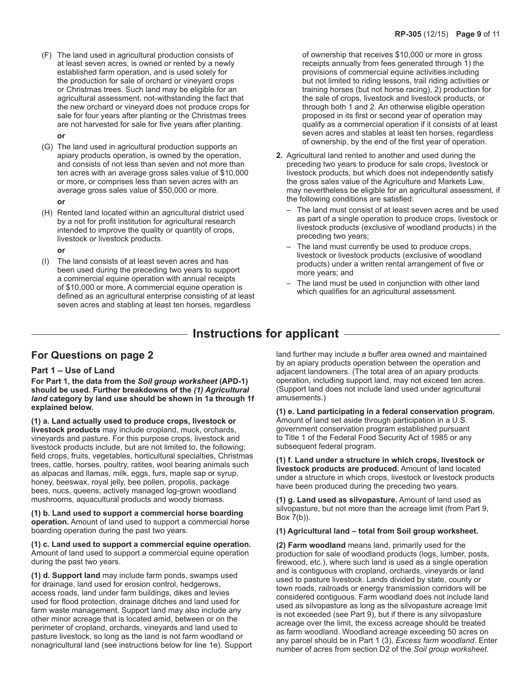(F) The land used in agricultural production consists of at least seven acres, is owned or rented by a newly established farm operation, and is used solely for the production for sale of orchard or vineyard crops or Christmas trees. Such land may be eligible for an agricultural assessment, not-withstanding the fact that the new orchard or vineyard does not produce crops for sale for four years after planting or the Christmas trees are not harvested for sale for five years after planting.

**or**

- (G) The land used in agricultural production supports an apiary products operation, is owned by the operation, and consists of not less than seven and not more than ten acres with an average gross sales value of \$10,000 or more, or comprises less than seven acres with an average gross sales value of \$50,000 or more. **or**
- (H) Rented land located within an agricultural district used by a not for profit institution for agricultural research intended to improve the quality or quantity of crops, livestock or livestock products.

**or**

(I) The land consists of at least seven acres and has been used during the preceding two years to support a commercial equine operation with annual receipts of \$10,000 or more. A commercial equine operation is defined as an agricultural enterprise consisting of at least seven acres and stabling at least ten horses, regardless

of ownership that receives \$10,000 or more in gross receipts annually from fees generated through 1) the provisions of commercial equine activities including but not limited to riding lessons, trail riding activities or training horses (but not horse racing), 2) production for the sale of crops, livestock and livestock products, or through both 1 and 2. An otherwise eligible operation proposed in its first or second year of operation may qualify as a commercial operation if it consists of at least seven acres and stables at least ten horses, regardless of ownership, by the end of the first year of operation.

- **2.** Agricultural land rented to another and used during the preceding two years to produce for sale crops, livestock or livestock products, but which does not independently satisfy the gross sales value of the Agriculture and Markets Law, may nevertheless be eligible for an agricultural assessment, if the following conditions are satisfied:
	- The land must consist of at least seven acres and be used as part of a single operation to produce crops, livestock or livestock products (exclusive of woodland products) in the preceding two years;
	- The land must currently be used to produce crops, livestock or livestock products (exclusive of woodland products) under a written rental arrangement of five or more years; and
	- The land must be used in conjunction with other land which qualifies for an agricultural assessment.

# **Instructions for applicant**

## **For Questions on page 2**

### **Part 1 – Use of Land**

**For Part 1, the data from the** *Soil group worksheet* **(APD-1) should be used. Further breakdowns of the** *(1) Agricultural land* **category by land use should be shown in 1a through 1f explained below.**

**(1) a. Land actually used to produce crops, livestock or livestock products** may include cropland, muck, orchards, vineyards and pasture. For this purpose crops, livestock and livestock products include, but are not limited to, the following: field crops, fruits, vegetables, horticultural specialties, Christmas trees, cattle, horses, poultry, ratites, wool bearing animals such as alpacas and llamas, milk, eggs, furs, maple sap or syrup, honey, beeswax, royal jelly, bee pollen, propolis, package bees, nucs, queens, actively managed log-grown woodland mushrooms, aquacultural products and woody biomass.

**(1) b. Land used to support a commercial horse boarding operation.** Amount of land used to support a commercial horse boarding operation during the past two years.

**(1) c. Land used to support a commercial equine operation.** Amount of land used to support a commercial equine operation during the past two years.

**(1) d. Support land** may include farm ponds, swamps used for drainage, land used for erosion control, hedgerows, access roads, land under farm buildings, dikes and levies used for flood protection, drainage ditches and land used for farm waste management. Support land may also include any other minor acreage that is located amid, between or on the perimeter of cropland, orchards, vineyards and land used to pasture livestock, so long as the land is not farm woodland or nonagricultural land (see instructions below for line 1e). Support land further may include a buffer area owned and maintained by an apiary products operation between the operation and adjacent landowners. (The total area of an apiary products operation, including support land, may not exceed ten acres. (Support land does not include land used under agricultural amusements.)

**(1) e. Land participating in a federal conservation program.** Amount of land set aside through participation in a U.S. government conservation program established pursuant to Title 1 of the Federal Food Security Act of 1985 or any subsequent federal program.

**(1) f. Land under a structure in which crops, livestock or livestock products are produced.** Amount of land located under a structure in which crops, livestock or livestock products have been produced during the preceding two years.

**(1) g. Land used as silvopasture.** Amount of land used as silvopasture, but not more than the acreage limit (from Part 9, Box 7(b)).

### **(1) Agricultural land – total from Soil group worksheet.**

**(2) Farm woodland** means land, primarily used for the production for sale of woodland products (logs, lumber, posts, firewood, etc.), where such land is used as a single operation and is contiguous with cropland, orchards, vineyards or land used to pasture livestock. Lands divided by state, county or town roads, railroads or energy transmission corridors will be considered contiguous. Farm woodland does not include land used as silvopasture as long as the silvopasture acreage lmit is not exceeded (see Part 9), but if there is any silvopasture acreage over the limit, the excess acreage should be treated as farm woodland. Woodland acreage exceeding 50 acres on any parcel should be in Part 1 (3), *Excess farm woodland*. Enter number of acres from section D2 of the *Soil group worksheet*.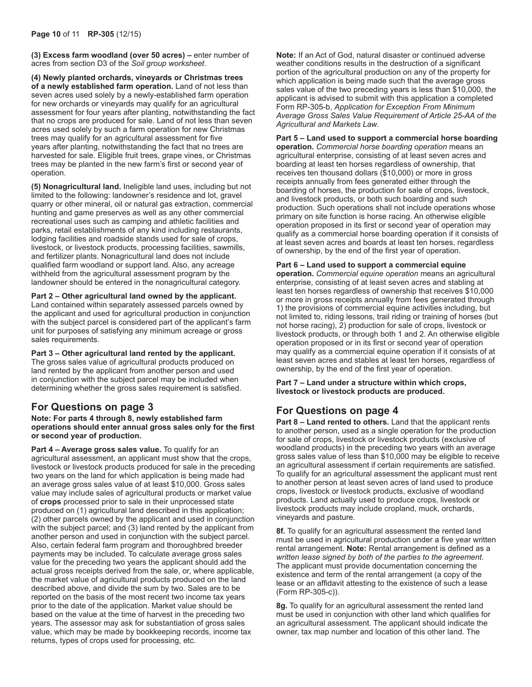**(3) Excess farm woodland (over 50 acres) –** enter number of acres from section D3 of the *Soil group worksheet*.

**(4) Newly planted orchards, vineyards or Christmas trees of a newly established farm operation.** Land of not less than seven acres used solely by a newly-established farm operation for new orchards or vineyards may qualify for an agricultural assessment for four years after planting, notwithstanding the fact that no crops are produced for sale. Land of not less than seven acres used solely by such a farm operation for new Christmas trees may qualify for an agricultural assessment for five years after planting, notwithstanding the fact that no trees are harvested for sale. Eligible fruit trees, grape vines, or Christmas trees may be planted in the new farm's first or second year of operation.

**(5) Nonagricultural land.** Ineligible land uses, including but not limited to the following: landowner's residence and lot, gravel quarry or other mineral, oil or natural gas extraction, commercial hunting and game preserves as well as any other commercial recreational uses such as camping and athletic facilities and parks, retail establishments of any kind including restaurants, lodging facilities and roadside stands used for sale of crops, livestock, or livestock products, processing facilities, sawmills, and fertilizer plants. Nonagricultural land does not include qualified farm woodland or support land. Also, any acreage withheld from the agricultural assessment program by the landowner should be entered in the nonagricultural category.

### **Part 2 – Other agricultural land owned by the applicant.**  Land contained within separately assessed parcels owned by the applicant and used for agricultural production in conjunction

with the subject parcel is considered part of the applicant's farm unit for purposes of satisfying any minimum acreage or gross sales requirements.

### **Part 3 – Other agricultural land rented by the applicant.**

The gross sales value of agricultural products produced on land rented by the applicant from another person and used in conjunction with the subject parcel may be included when determining whether the gross sales requirement is satisfied.

# **For Questions on page 3**

**Note: For parts 4 through 8, newly established farm operations should enter annual gross sales only for the first or second year of production.**

**Part 4 – Average gross sales value.** To qualify for an agricultural assessment, an applicant must show that the crops, livestock or livestock products produced for sale in the preceding two years on the land for which application is being made had an average gross sales value of at least \$10,000. Gross sales value may include sales of agricultural products or market value of **crops** processed prior to sale in their unprocessed state produced on (1) agricultural land described in this application; (2) other parcels owned by the applicant and used in conjunction with the subject parcel; and (3) land rented by the applicant from another person and used in conjunction with the subject parcel. Also, certain federal farm program and thoroughbred breeder payments may be included. To calculate average gross sales value for the preceding two years the applicant should add the actual gross receipts derived from the sale, or, where applicable, the market value of agricultural products produced on the land described above, and divide the sum by two. Sales are to be reported on the basis of the most recent two income tax years prior to the date of the application. Market value should be based on the value at the time of harvest in the preceding two years. The assessor may ask for substantiation of gross sales value, which may be made by bookkeeping records, income tax returns, types of crops used for processing, etc.

**Note:** If an Act of God, natural disaster or continued adverse weather conditions results in the destruction of a significant portion of the agricultural production on any of the property for which application is being made such that the average gross sales value of the two preceding years is less than \$10,000, the applicant is advised to submit with this application a completed Form RP-305-b, *Application for Exception From Minimum Average Gross Sales Value Requirement of Article 25-AA of the Agricultural and Markets Law*.

## **Part 5 – Land used to support a commercial horse boarding**

**operation.** *Commercial horse boarding operation* means an agricultural enterprise, consisting of at least seven acres and boarding at least ten horses regardless of ownership, that receives ten thousand dollars (\$10,000) or more in gross receipts annually from fees generated either through the boarding of horses, the production for sale of crops, livestock, and livestock products, or both such boarding and such production. Such operations shall not include operations whose primary on site function is horse racing. An otherwise eligible operation proposed in its first or second year of operation may qualify as a commercial horse boarding operation if it consists of at least seven acres and boards at least ten horses, regardless of ownership, by the end of the first year of operation.

## **Part 6 – Land used to support a commercial equine**

**operation.** *Commercial equine operation* means an agricultural enterprise, consisting of at least seven acres and stabling at least ten horses regardless of ownership that receives \$10,000 or more in gross receipts annually from fees generated through 1) the provisions of commercial equine activities including, but not limited to, riding lessons, trail riding or training of horses (but not horse racing), 2) production for sale of crops, livestock or livestock products, or through both 1 and 2. An otherwise eligible operation proposed or in its first or second year of operation may qualify as a commercial equine operation if it consists of at least seven acres and stables at least ten horses, regardless of ownership, by the end of the first year of operation.

### **Part 7 – Land under a structure within which crops, livestock or livestock products are produced.**

# **For Questions on page 4**

**Part 8 – Land rented to others.** Land that the applicant rents to another person, used as a single operation for the production for sale of crops, livestock or livestock products (exclusive of woodland products) in the preceding two years with an average gross sales value of less than \$10,000 may be eligible to receive an agricultural assessment if certain requirements are satisfied. To qualify for an agricultural assessment the applicant must rent to another person at least seven acres of land used to produce crops, livestock or livestock products, exclusive of woodland products. Land actually used to produce crops, livestock or livestock products may include cropland, muck, orchards, vineyards and pasture.

**8f.** To qualify for an agricultural assessment the rented land must be used in agricultural production under a five year written rental arrangement. **Note:** Rental arrangement is defined as a *written lease signed by both of the parties to the agreement*. The applicant must provide documentation concerning the existence and term of the rental arrangement (a copy of the lease or an affidavit attesting to the existence of such a lease (Form RP-305-c)).

**8g.** To qualify for an agricultural assessment the rented land must be used in conjunction with other land which qualifies for an agricultural assessment. The applicant should indicate the owner, tax map number and location of this other land. The